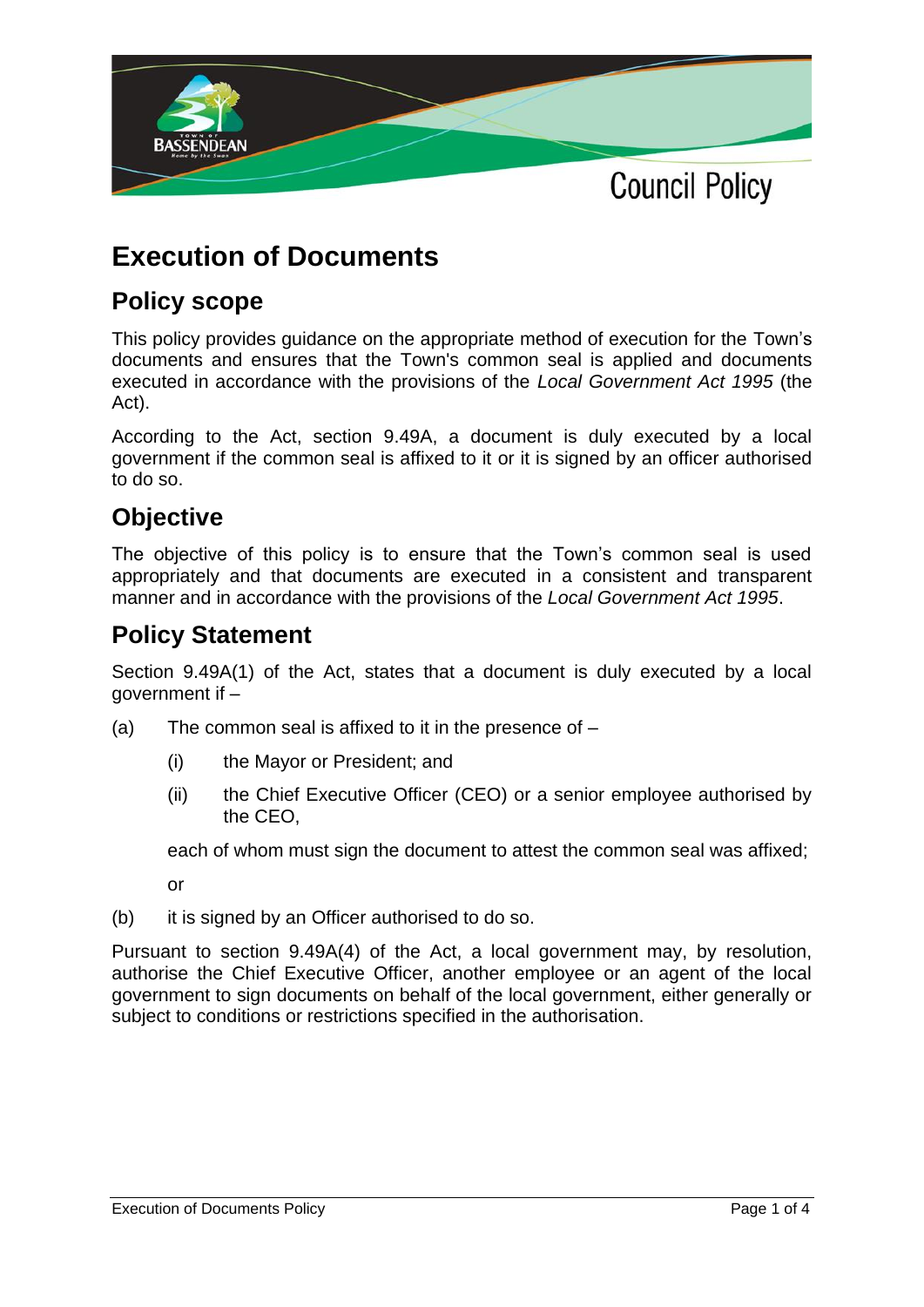

# **Execution of Documents**

## **Policy scope**

This policy provides guidance on the appropriate method of execution for the Town's documents and ensures that the Town's common seal is applied and documents executed in accordance with the provisions of the *Local Government Act 1995* (the Act).

According to the Act, section 9.49A, a document is duly executed by a local government if the common seal is affixed to it or it is signed by an officer authorised to do so.

### **Objective**

The objective of this policy is to ensure that the Town's common seal is used appropriately and that documents are executed in a consistent and transparent manner and in accordance with the provisions of the *Local Government Act 1995*.

### **Policy Statement**

Section 9.49A(1) of the Act, states that a document is duly executed by a local aovernment if  $-$ 

- (a) The common seal is affixed to it in the presence of  $-$ 
	- (i) the Mayor or President; and
	- (ii) the Chief Executive Officer (CEO) or a senior employee authorised by the CEO,

each of whom must sign the document to attest the common seal was affixed;

or

(b) it is signed by an Officer authorised to do so.

Pursuant to section 9.49A(4) of the Act, a local government may, by resolution, authorise the Chief Executive Officer, another employee or an agent of the local government to sign documents on behalf of the local government, either generally or subject to conditions or restrictions specified in the authorisation.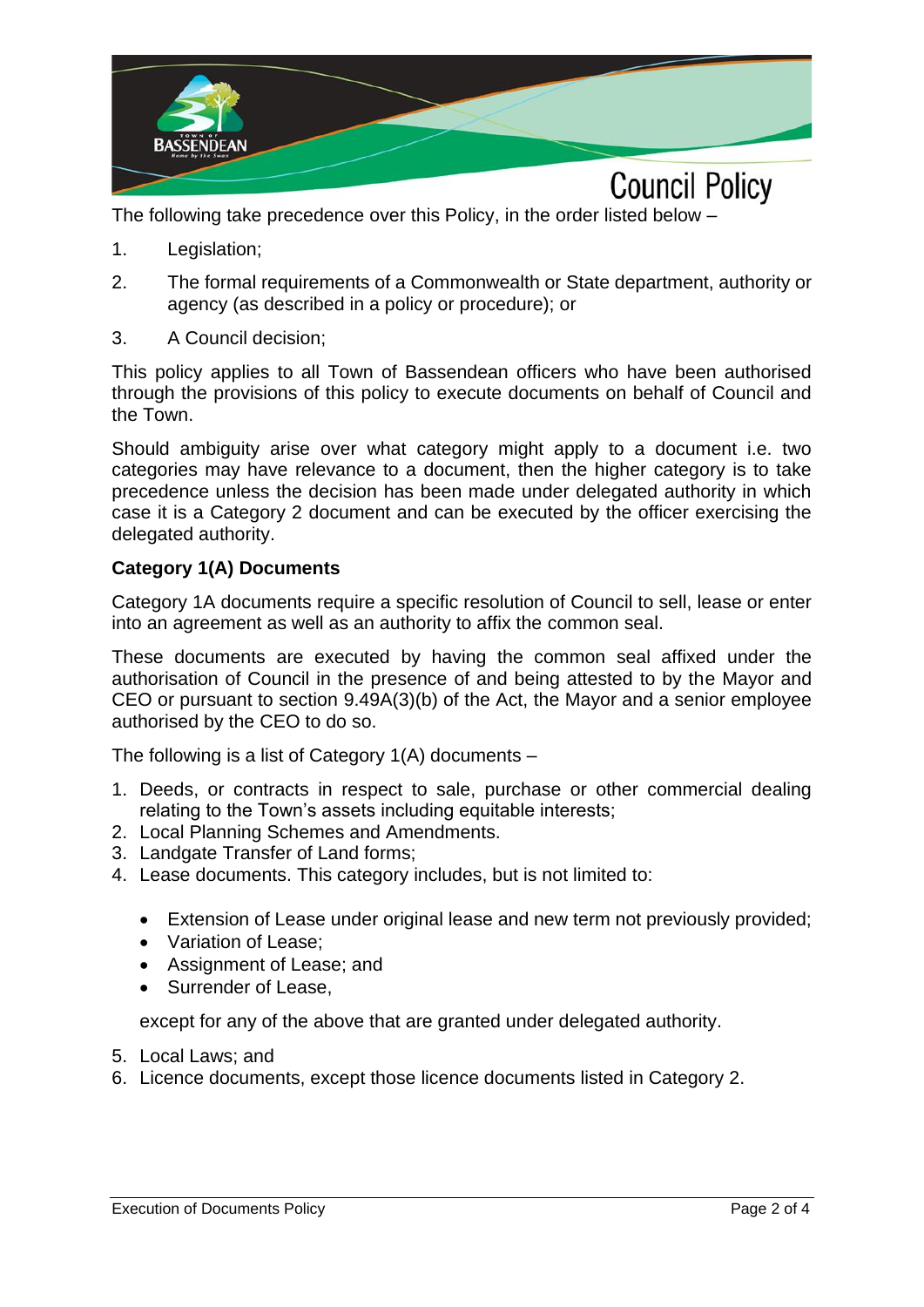

The following take precedence over this Policy, in the order listed below –

- 1. Legislation;
- 2. The formal requirements of a Commonwealth or State department, authority or agency (as described in a policy or procedure); or
- 3. A Council decision;

This policy applies to all Town of Bassendean officers who have been authorised through the provisions of this policy to execute documents on behalf of Council and the Town.

Should ambiguity arise over what category might apply to a document i.e. two categories may have relevance to a document, then the higher category is to take precedence unless the decision has been made under delegated authority in which case it is a Category 2 document and can be executed by the officer exercising the delegated authority.

#### **Category 1(A) Documents**

Category 1A documents require a specific resolution of Council to sell, lease or enter into an agreement as well as an authority to affix the common seal.

These documents are executed by having the common seal affixed under the authorisation of Council in the presence of and being attested to by the Mayor and CEO or pursuant to section 9.49A(3)(b) of the Act, the Mayor and a senior employee authorised by the CEO to do so.

The following is a list of Category  $1(A)$  documents –

- 1. Deeds, or contracts in respect to sale, purchase or other commercial dealing relating to the Town's assets including equitable interests;
- 2. Local Planning Schemes and Amendments.
- 3. Landgate Transfer of Land forms;
- 4. Lease documents. This category includes, but is not limited to:
	- Extension of Lease under original lease and new term not previously provided;
	- Variation of Lease;
	- Assignment of Lease; and
	- Surrender of Lease,

except for any of the above that are granted under delegated authority.

- 5. Local Laws; and
- 6. Licence documents, except those licence documents listed in Category 2.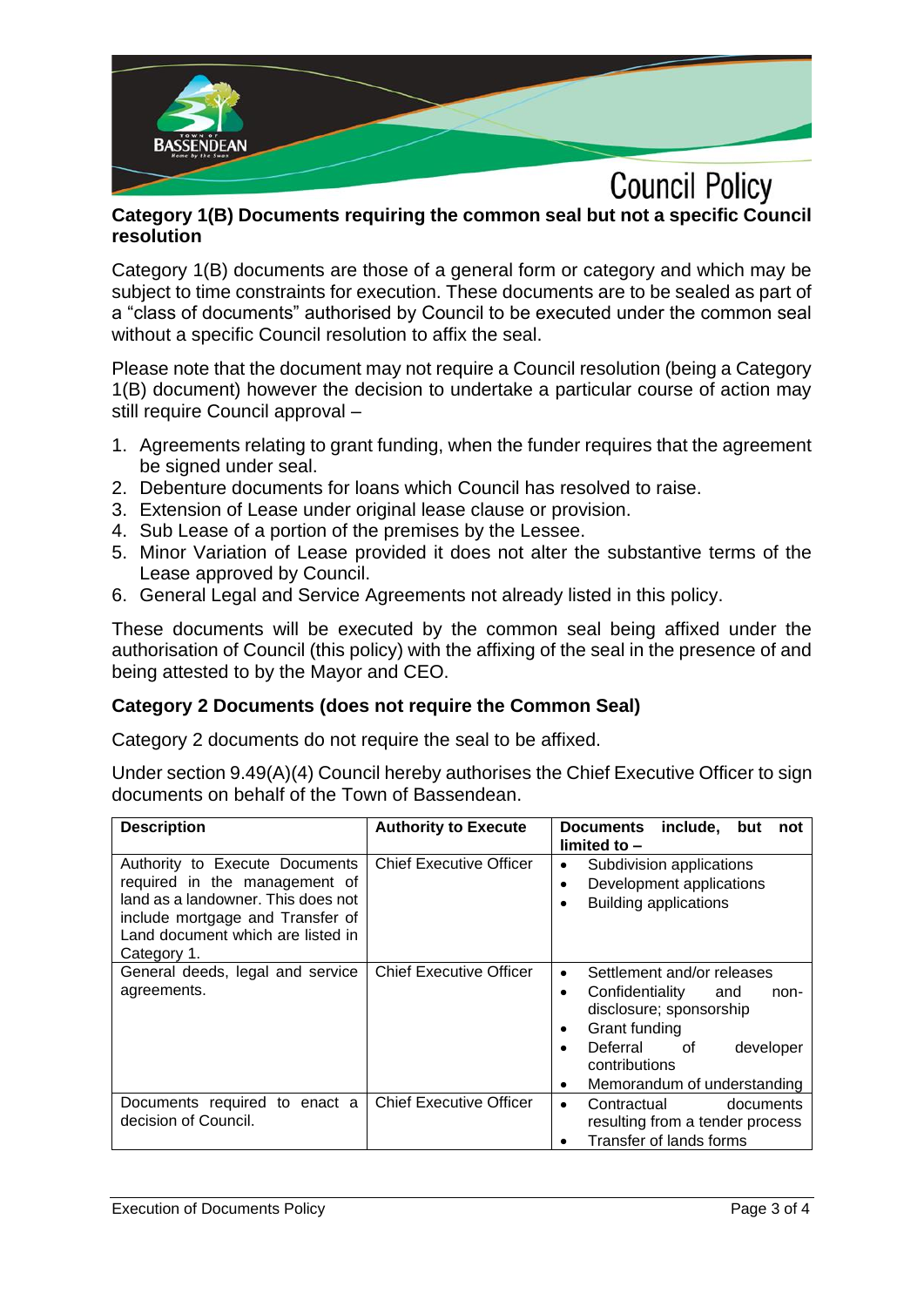

#### **Category 1(B) Documents requiring the common seal but not a specific Council resolution**

Category 1(B) documents are those of a general form or category and which may be subject to time constraints for execution. These documents are to be sealed as part of a "class of documents" authorised by Council to be executed under the common seal without a specific Council resolution to affix the seal.

Please note that the document may not require a Council resolution (being a Category 1(B) document) however the decision to undertake a particular course of action may still require Council approval –

- 1. Agreements relating to grant funding, when the funder requires that the agreement be signed under seal.
- 2. Debenture documents for loans which Council has resolved to raise.
- 3. Extension of Lease under original lease clause or provision.
- 4. Sub Lease of a portion of the premises by the Lessee.
- 5. Minor Variation of Lease provided it does not alter the substantive terms of the Lease approved by Council.
- 6. General Legal and Service Agreements not already listed in this policy.

These documents will be executed by the common seal being affixed under the authorisation of Council (this policy) with the affixing of the seal in the presence of and being attested to by the Mayor and CEO.

### **Category 2 Documents (does not require the Common Seal)**

Category 2 documents do not require the seal to be affixed.

Under section 9.49(A)(4) Council hereby authorises the Chief Executive Officer to sign documents on behalf of the Town of Bassendean.

| <b>Description</b>                                                                                                                                                                            | <b>Authority to Execute</b>    | include,<br><b>Documents</b><br>but<br>not<br>limited to $-$                                                                                                                                                          |
|-----------------------------------------------------------------------------------------------------------------------------------------------------------------------------------------------|--------------------------------|-----------------------------------------------------------------------------------------------------------------------------------------------------------------------------------------------------------------------|
| Authority to Execute Documents<br>required in the management of<br>land as a landowner. This does not<br>include mortgage and Transfer of<br>Land document which are listed in<br>Category 1. | <b>Chief Executive Officer</b> | Subdivision applications<br>٠<br>Development applications<br>٠<br><b>Building applications</b><br>٠                                                                                                                   |
| General deeds, legal and service<br>agreements.                                                                                                                                               | <b>Chief Executive Officer</b> | Settlement and/or releases<br>$\bullet$<br>Confidentiality<br>and<br>non-<br>٠<br>disclosure; sponsorship<br>Grant funding<br>٠<br>Deferral of<br>developer<br>٠<br>contributions<br>Memorandum of understanding<br>٠ |
| Documents required to enact a<br>decision of Council.                                                                                                                                         | <b>Chief Executive Officer</b> | Contractual<br>documents<br>$\bullet$<br>resulting from a tender process<br>Transfer of lands forms<br>٠                                                                                                              |